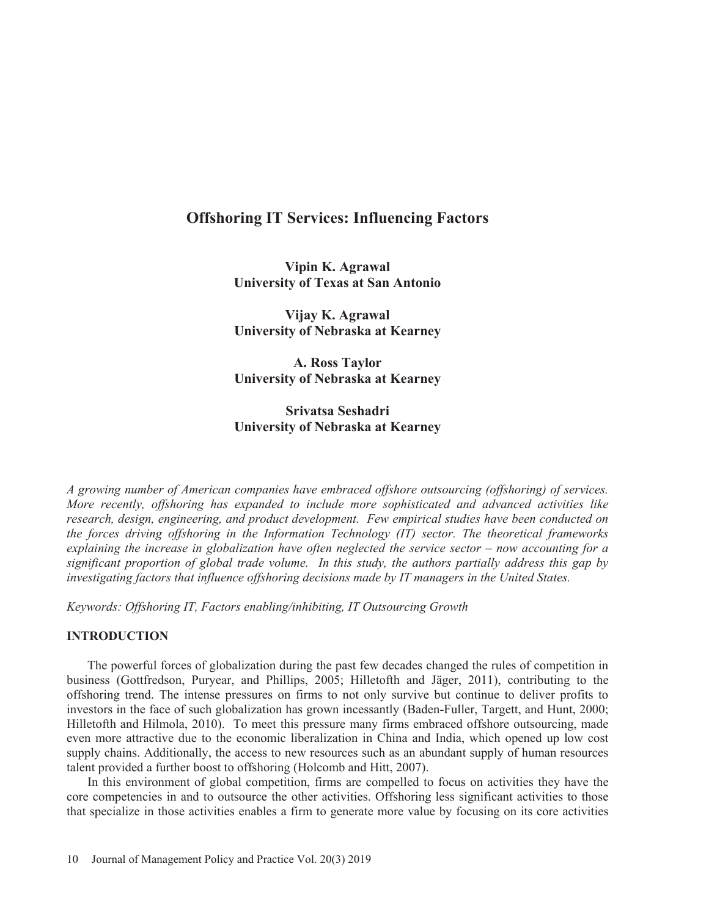# **Offshoring IT Services: Influencing Factors**

**Vipin K. Agrawal University of Texas at San Antonio** 

**Vijay K. Agrawal University of Nebraska at Kearney** 

**A. Ross Taylor University of Nebraska at Kearney** 

**Srivatsa Seshadri University of Nebraska at Kearney** 

*A growing number of American companies have embraced offshore outsourcing (offshoring) of services. More recently, offshoring has expanded to include more sophisticated and advanced activities like research, design, engineering, and product development. Few empirical studies have been conducted on the forces driving offshoring in the Information Technology (IT) sector. The theoretical frameworks explaining the increase in globalization have often neglected the service sector – now accounting for a significant proportion of global trade volume. In this study, the authors partially address this gap by investigating factors that influence offshoring decisions made by IT managers in the United States.* 

*Keywords: Offshoring IT, Factors enabling/inhibiting IT Outsourcing Growth* 

# **INTRODUCTION**

The powerful forces of globalization during the past few decades changed the rules of competition in business (Gottfredson, Puryear, and Phillips, 2005; Hilletofth and Jäger, 2011), contributing to the offshoring trend. The intense pressures on firms to not only survive but continue to deliver profits to investors in the face of such globalization has grown incessantly (Baden-Fuller, Targett, and Hunt, 2000; Hilletofth and Hilmola, 2010). To meet this pressure many firms embraced offshore outsourcing, made even more attractive due to the economic liberalization in China and India, which opened up low cost supply chains. Additionally, the access to new resources such as an abundant supply of human resources talent provided a further boost to offshoring (Holcomb and Hitt, 2007).

In this environment of global competition, firms are compelled to focus on activities they have the core competencies in and to outsource the other activities. Offshoring less significant activities to those that specialize in those activities enables a firm to generate more value by focusing on its core activities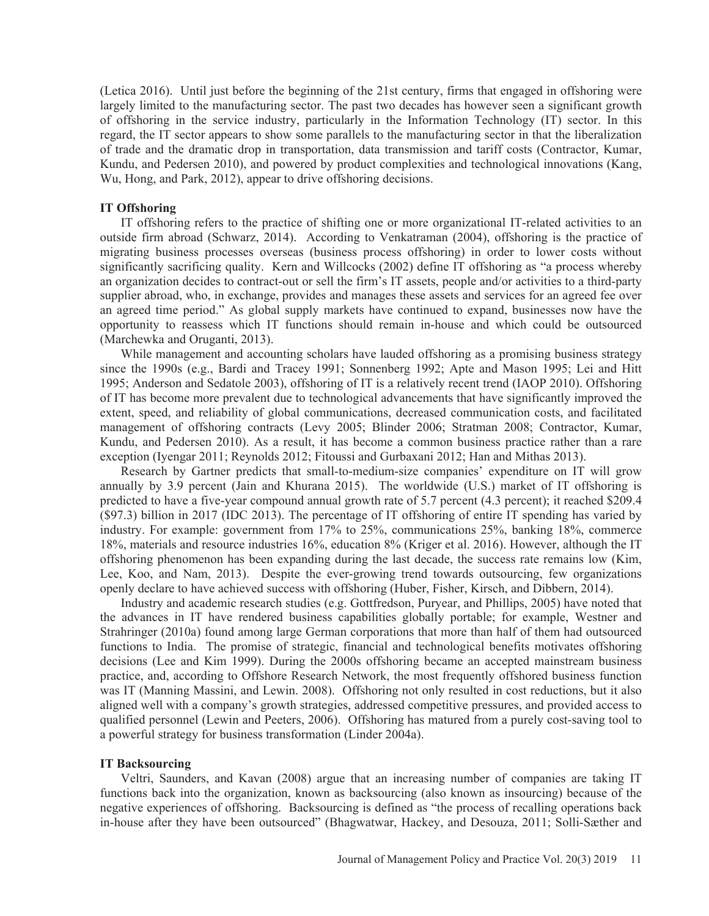(Letica 2016). Until just before the beginning of the 21st century, firms that engaged in offshoring were largely limited to the manufacturing sector. The past two decades has however seen a significant growth of offshoring in the service industry, particularly in the Information Technology (IT) sector. In this regard, the IT sector appears to show some parallels to the manufacturing sector in that the liberalization of trade and the dramatic drop in transportation, data transmission and tariff costs (Contractor, Kumar, Kundu, and Pedersen 2010), and powered by product complexities and technological innovations (Kang, Wu, Hong, and Park, 2012), appear to drive offshoring decisions.

# **IT Offshoring**

IT offshoring refers to the practice of shifting one or more organizational IT-related activities to an outside firm abroad (Schwarz, 2014). According to Venkatraman (2004), offshoring is the practice of migrating business processes overseas (business process offshoring) in order to lower costs without significantly sacrificing quality. Kern and Willcocks (2002) define IT offshoring as "a process whereby an organization decides to contract-out or sell the firm's IT assets, people and/or activities to a third-party supplier abroad, who, in exchange, provides and manages these assets and services for an agreed fee over an agreed time period." As global supply markets have continued to expand, businesses now have the opportunity to reassess which IT functions should remain in-house and which could be outsourced (Marchewka and Oruganti, 2013).

While management and accounting scholars have lauded offshoring as a promising business strategy since the 1990s (e.g., Bardi and Tracey 1991; Sonnenberg 1992; Apte and Mason 1995; Lei and Hitt 1995; Anderson and Sedatole 2003), offshoring of IT is a relatively recent trend (IAOP 2010). Offshoring of IT has become more prevalent due to technological advancements that have significantly improved the extent, speed, and reliability of global communications, decreased communication costs, and facilitated management of offshoring contracts (Levy 2005; Blinder 2006; Stratman 2008; Contractor, Kumar, Kundu, and Pedersen 2010). As a result, it has become a common business practice rather than a rare exception (Iyengar 2011; Reynolds 2012; Fitoussi and Gurbaxani 2012; Han and Mithas 2013).

Research by Gartner predicts that small-to-medium-size companies' expenditure on IT will grow annually by 3.9 percent (Jain and Khurana 2015). The worldwide (U.S.) market of IT offshoring is predicted to have a five-year compound annual growth rate of 5.7 percent (4.3 percent); it reached \$209.4 (\$97.3) billion in 2017 (IDC 2013). The percentage of IT offshoring of entire IT spending has varied by industry. For example: government from 17% to 25%, communications 25%, banking 18%, commerce 18%, materials and resource industries 16%, education 8% (Kriger et al. 2016). However, although the IT offshoring phenomenon has been expanding during the last decade, the success rate remains low (Kim, Lee, Koo, and Nam, 2013). Despite the ever-growing trend towards outsourcing, few organizations openly declare to have achieved success with offshoring (Huber, Fisher, Kirsch, and Dibbern, 2014).

Industry and academic research studies (e.g. Gottfredson, Puryear, and Phillips, 2005) have noted that the advances in IT have rendered business capabilities globally portable; for example, Westner and Strahringer (2010a) found among large German corporations that more than half of them had outsourced functions to India. The promise of strategic, financial and technological benefits motivates offshoring decisions (Lee and Kim 1999). During the 2000s offshoring became an accepted mainstream business practice, and, according to Offshore Research Network, the most frequently offshored business function was IT (Manning Massini, and Lewin. 2008). Offshoring not only resulted in cost reductions, but it also aligned well with a company's growth strategies, addressed competitive pressures, and provided access to qualified personnel (Lewin and Peeters, 2006). Offshoring has matured from a purely cost-saving tool to a powerful strategy for business transformation (Linder 2004a).

# **IT Backsourcing**

Veltri, Saunders, and Kavan (2008) argue that an increasing number of companies are taking IT functions back into the organization, known as backsourcing (also known as insourcing) because of the negative experiences of offshoring. Backsourcing is defined as "the process of recalling operations back in-house after they have been outsourced" (Bhagwatwar, Hackey, and Desouza, 2011; Solli-Sæther and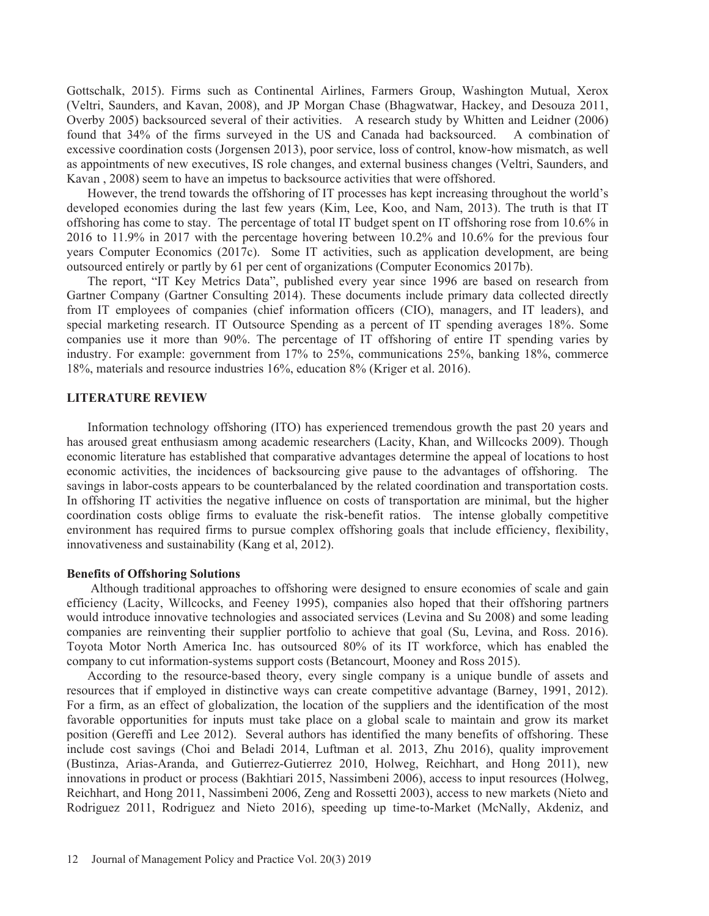Gottschalk, 2015). Firms such as Continental Airlines, Farmers Group, Washington Mutual, Xerox (Veltri, Saunders, and Kavan, 2008), and JP Morgan Chase (Bhagwatwar, Hackey, and Desouza 2011, Overby 2005) backsourced several of their activities. A research study by Whitten and Leidner (2006) found that 34% of the firms surveyed in the US and Canada had backsourced. A combination of excessive coordination costs (Jorgensen 2013), poor service, loss of control, know-how mismatch, as well as appointments of new executives, IS role changes, and external business changes (Veltri, Saunders, and Kavan , 2008) seem to have an impetus to backsource activities that were offshored.

However, the trend towards the offshoring of IT processes has kept increasing throughout the world's developed economies during the last few years (Kim, Lee, Koo, and Nam, 2013). The truth is that IT offshoring has come to stay. The percentage of total IT budget spent on IT offshoring rose from 10.6% in 2016 to 11.9% in 2017 with the percentage hovering between 10.2% and 10.6% for the previous four years Computer Economics (2017c). Some IT activities, such as application development, are being outsourced entirely or partly by 61 per cent of organizations (Computer Economics 2017b).

The report, "IT Key Metrics Data", published every year since 1996 are based on research from Gartner Company (Gartner Consulting 2014). These documents include primary data collected directly from IT employees of companies (chief information officers (CIO), managers, and IT leaders), and special marketing research. IT Outsource Spending as a percent of IT spending averages 18%. Some companies use it more than 90%. The percentage of IT offshoring of entire IT spending varies by industry. For example: government from 17% to 25%, communications 25%, banking 18%, commerce 18%, materials and resource industries 16%, education 8% (Kriger et al. 2016).

### **LITERATURE REVIEW**

Information technology offshoring (ITO) has experienced tremendous growth the past 20 years and has aroused great enthusiasm among academic researchers (Lacity, Khan, and Willcocks 2009). Though economic literature has established that comparative advantages determine the appeal of locations to host economic activities, the incidences of backsourcing give pause to the advantages of offshoring. The savings in labor-costs appears to be counterbalanced by the related coordination and transportation costs. In offshoring IT activities the negative influence on costs of transportation are minimal, but the higher coordination costs oblige firms to evaluate the risk-benefit ratios. The intense globally competitive environment has required firms to pursue complex offshoring goals that include efficiency, flexibility, innovativeness and sustainability (Kang et al, 2012).

### **Benefits of Offshoring Solutions**

 Although traditional approaches to offshoring were designed to ensure economies of scale and gain efficiency (Lacity, Willcocks, and Feeney 1995), companies also hoped that their offshoring partners would introduce innovative technologies and associated services (Levina and Su 2008) and some leading companies are reinventing their supplier portfolio to achieve that goal (Su, Levina, and Ross. 2016). Toyota Motor North America Inc. has outsourced 80% of its IT workforce, which has enabled the company to cut information-systems support costs (Betancourt, Mooney and Ross 2015).

According to the resource-based theory, every single company is a unique bundle of assets and resources that if employed in distinctive ways can create competitive advantage (Barney, 1991, 2012). For a firm, as an effect of globalization, the location of the suppliers and the identification of the most favorable opportunities for inputs must take place on a global scale to maintain and grow its market position (Gereffi and Lee 2012). Several authors has identified the many benefits of offshoring. These include cost savings (Choi and Beladi 2014, Luftman et al. 2013, Zhu 2016), quality improvement (Bustinza, Arias-Aranda, and Gutierrez-Gutierrez 2010, Holweg, Reichhart, and Hong 2011), new innovations in product or process (Bakhtiari 2015, Nassimbeni 2006), access to input resources (Holweg, Reichhart, and Hong 2011, Nassimbeni 2006, Zeng and Rossetti 2003), access to new markets (Nieto and Rodriguez 2011, Rodriguez and Nieto 2016), speeding up time-to-Market (McNally, Akdeniz, and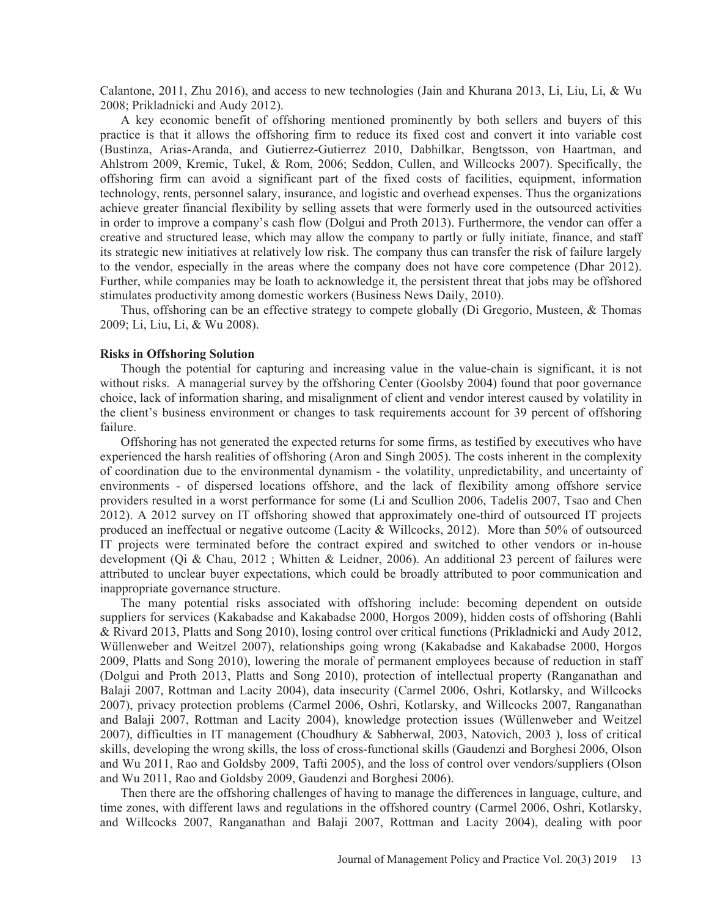Calantone, 2011, Zhu 2016), and access to new technologies (Jain and Khurana 2013, Li, Liu, Li, & Wu 2008; Prikladnicki and Audy 2012).

A key economic benefit of offshoring mentioned prominently by both sellers and buyers of this practice is that it allows the offshoring firm to reduce its fixed cost and convert it into variable cost (Bustinza, Arias-Aranda, and Gutierrez-Gutierrez 2010, Dabhilkar, Bengtsson, von Haartman, and Ahlstrom 2009, Kremic, Tukel, & Rom, 2006; Seddon, Cullen, and Willcocks 2007). Specifically, the offshoring firm can avoid a significant part of the fixed costs of facilities, equipment, information technology, rents, personnel salary, insurance, and logistic and overhead expenses. Thus the organizations achieve greater financial flexibility by selling assets that were formerly used in the outsourced activities in order to improve a company's cash flow (Dolgui and Proth 2013). Furthermore, the vendor can offer a creative and structured lease, which may allow the company to partly or fully initiate, finance, and staff its strategic new initiatives at relatively low risk. The company thus can transfer the risk of failure largely to the vendor, especially in the areas where the company does not have core competence (Dhar 2012). Further, while companies may be loath to acknowledge it, the persistent threat that jobs may be offshored stimulates productivity among domestic workers (Business News Daily, 2010).

Thus, offshoring can be an effective strategy to compete globally (Di Gregorio, Musteen, & Thomas 2009; Li, Liu, Li, & Wu 2008).

#### **Risks in Offshoring Solution**

Though the potential for capturing and increasing value in the value-chain is significant, it is not without risks. A managerial survey by the offshoring Center (Goolsby 2004) found that poor governance choice, lack of information sharing, and misalignment of client and vendor interest caused by volatility in the client's business environment or changes to task requirements account for 39 percent of offshoring failure.

Offshoring has not generated the expected returns for some firms, as testified by executives who have experienced the harsh realities of offshoring (Aron and Singh 2005). The costs inherent in the complexity of coordination due to the environmental dynamism - the volatility, unpredictability, and uncertainty of environments - of dispersed locations offshore, and the lack of flexibility among offshore service providers resulted in a worst performance for some (Li and Scullion 2006, Tadelis 2007, Tsao and Chen 2012). A 2012 survey on IT offshoring showed that approximately one-third of outsourced IT projects produced an ineffectual or negative outcome (Lacity & Willcocks, 2012). More than 50% of outsourced IT projects were terminated before the contract expired and switched to other vendors or in-house development (Qi & Chau, 2012 ; Whitten & Leidner, 2006). An additional 23 percent of failures were attributed to unclear buyer expectations, which could be broadly attributed to poor communication and inappropriate governance structure.

The many potential risks associated with offshoring include: becoming dependent on outside suppliers for services (Kakabadse and Kakabadse 2000, Horgos 2009), hidden costs of offshoring (Bahli & Rivard 2013, Platts and Song 2010), losing control over critical functions (Prikladnicki and Audy 2012, Wüllenweber and Weitzel 2007), relationships going wrong (Kakabadse and Kakabadse 2000, Horgos 2009, Platts and Song 2010), lowering the morale of permanent employees because of reduction in staff (Dolgui and Proth 2013, Platts and Song 2010), protection of intellectual property (Ranganathan and Balaji 2007, Rottman and Lacity 2004), data insecurity (Carmel 2006, Oshri, Kotlarsky, and Willcocks 2007), privacy protection problems (Carmel 2006, Oshri, Kotlarsky, and Willcocks 2007, Ranganathan and Balaji 2007, Rottman and Lacity 2004), knowledge protection issues (Wüllenweber and Weitzel 2007), difficulties in IT management (Choudhury & Sabherwal, 2003, Natovich, 2003 ), loss of critical skills, developing the wrong skills, the loss of cross-functional skills (Gaudenzi and Borghesi 2006, Olson and Wu 2011, Rao and Goldsby 2009, Tafti 2005), and the loss of control over vendors/suppliers (Olson and Wu 2011, Rao and Goldsby 2009, Gaudenzi and Borghesi 2006).

Then there are the offshoring challenges of having to manage the differences in language, culture, and time zones, with different laws and regulations in the offshored country (Carmel 2006, Oshri, Kotlarsky, and Willcocks 2007, Ranganathan and Balaji 2007, Rottman and Lacity 2004), dealing with poor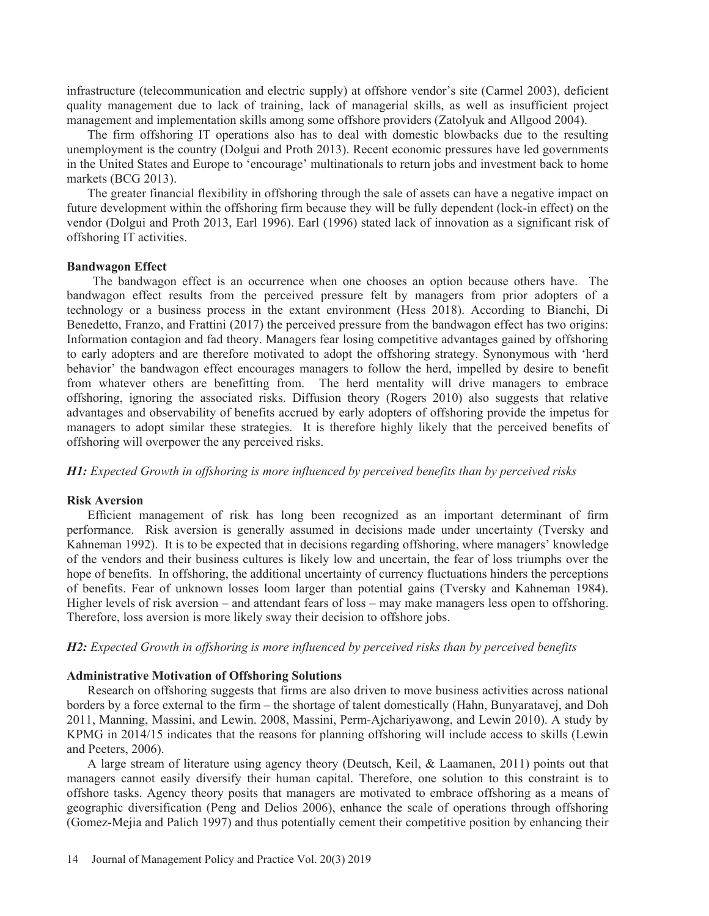infrastructure (telecommunication and electric supply) at offshore vendor's site (Carmel 2003), deficient quality management due to lack of training, lack of managerial skills, as well as insufficient project management and implementation skills among some offshore providers (Zatolyuk and Allgood 2004).

The firm offshoring IT operations also has to deal with domestic blowbacks due to the resulting unemployment is the country (Dolgui and Proth 2013). Recent economic pressures have led governments in the United States and Europe to 'encourage' multinationals to return jobs and investment back to home markets (BCG 2013).

The greater financial flexibility in offshoring through the sale of assets can have a negative impact on future development within the offshoring firm because they will be fully dependent (lock-in effect) on the vendor (Dolgui and Proth 2013, Earl 1996). Earl (1996) stated lack of innovation as a significant risk of offshoring IT activities.

# **Bandwagon Effect**

The bandwagon effect is an occurrence when one chooses an option because others have. The bandwagon effect results from the perceived pressure felt by managers from prior adopters of a technology or a business process in the extant environment (Hess 2018). According to Bianchi, Di Benedetto, Franzo, and Frattini (2017) the perceived pressure from the bandwagon effect has two origins: Information contagion and fad theory. Managers fear losing competitive advantages gained by offshoring to early adopters and are therefore motivated to adopt the offshoring strategy. Synonymous with 'herd behavior' the bandwagon effect encourages managers to follow the herd, impelled by desire to benefit from whatever others are benefitting from. The herd mentality will drive managers to embrace offshoring, ignoring the associated risks. Diffusion theory (Rogers 2010) also suggests that relative advantages and observability of benefits accrued by early adopters of offshoring provide the impetus for managers to adopt similar these strategies. It is therefore highly likely that the perceived benefits of offshoring will overpower the any perceived risks.

*H1: Expected Growth in offshoring is more influenced by perceived benefits than by perceived risks* 

#### **Risk Aversion**

Efficient management of risk has long been recognized as an important determinant of firm performance. Risk aversion is generally assumed in decisions made under uncertainty (Tversky and Kahneman 1992). It is to be expected that in decisions regarding offshoring, where managers' knowledge of the vendors and their business cultures is likely low and uncertain, the fear of loss triumphs over the hope of benefits. In offshoring, the additional uncertainty of currency fluctuations hinders the perceptions of benefits. Fear of unknown losses loom larger than potential gains (Tversky and Kahneman 1984). Higher levels of risk aversion – and attendant fears of loss – may make managers less open to offshoring. Therefore, loss aversion is more likely sway their decision to offshore jobs.

### *H2: Expected Growth in offshoring is more influenced by perceived risks than by perceived benefits*

#### **Administrative Motivation of Offshoring Solutions**

Research on offshoring suggests that firms are also driven to move business activities across national borders by a force external to the firm – the shortage of talent domestically (Hahn, Bunyaratavej, and Doh 2011, Manning, Massini, and Lewin. 2008, Massini, Perm-Ajchariyawong, and Lewin 2010). A study by KPMG in 2014/15 indicates that the reasons for planning offshoring will include access to skills (Lewin and Peeters, 2006).

A large stream of literature using agency theory (Deutsch, Keil, & Laamanen, 2011) points out that managers cannot easily diversify their human capital. Therefore, one solution to this constraint is to offshore tasks. Agency theory posits that managers are motivated to embrace offshoring as a means of geographic diversification (Peng and Delios 2006), enhance the scale of operations through offshoring (Gomez-Mejia and Palich 1997) and thus potentially cement their competitive position by enhancing their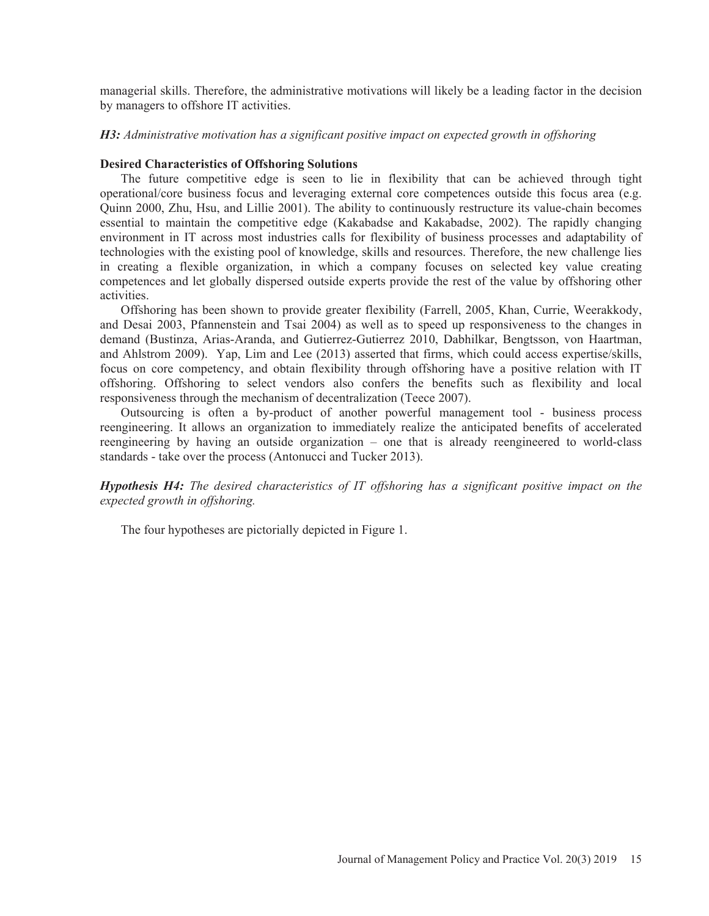managerial skills. Therefore, the administrative motivations will likely be a leading factor in the decision by managers to offshore IT activities.

# *H3: Administrative motivation has a significant positive impact on expected growth in offshoring*

# **Desired Characteristics of Offshoring Solutions**

The future competitive edge is seen to lie in flexibility that can be achieved through tight operational/core business focus and leveraging external core competences outside this focus area (e.g. Quinn 2000, Zhu, Hsu, and Lillie 2001). The ability to continuously restructure its value-chain becomes essential to maintain the competitive edge (Kakabadse and Kakabadse, 2002). The rapidly changing environment in IT across most industries calls for flexibility of business processes and adaptability of technologies with the existing pool of knowledge, skills and resources. Therefore, the new challenge lies in creating a flexible organization, in which a company focuses on selected key value creating competences and let globally dispersed outside experts provide the rest of the value by offshoring other activities.

Offshoring has been shown to provide greater flexibility (Farrell, 2005, Khan, Currie, Weerakkody, and Desai 2003, Pfannenstein and Tsai 2004) as well as to speed up responsiveness to the changes in demand (Bustinza, Arias-Aranda, and Gutierrez-Gutierrez 2010, Dabhilkar, Bengtsson, von Haartman, and Ahlstrom 2009). Yap, Lim and Lee (2013) asserted that firms, which could access expertise/skills, focus on core competency, and obtain flexibility through offshoring have a positive relation with IT offshoring. Offshoring to select vendors also confers the benefits such as flexibility and local responsiveness through the mechanism of decentralization (Teece 2007).

Outsourcing is often a by-product of another powerful management tool - business process reengineering. It allows an organization to immediately realize the anticipated benefits of accelerated reengineering by having an outside organization – one that is already reengineered to world-class standards - take over the process (Antonucci and Tucker 2013).

*Hypothesis H4: The desired characteristics of IT offshoring has a significant positive impact on the expected growth in offshoring.* 

The four hypotheses are pictorially depicted in Figure 1.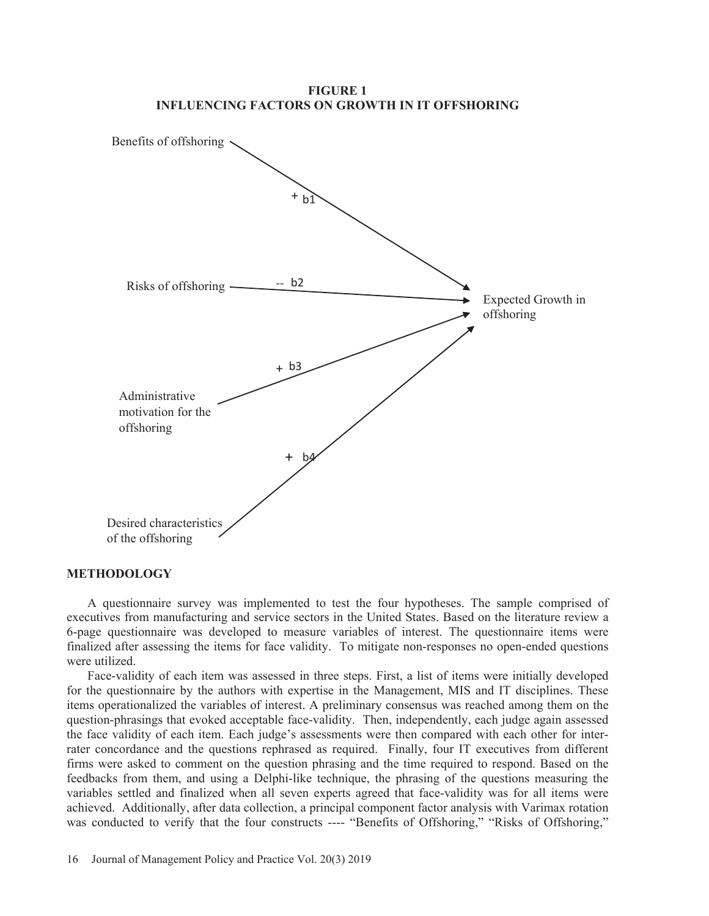**FIGURE 1 INFLUENCING FACTORS ON GROWTH IN IT OFFSHORING** 



### **METHODOLOGY**

A questionnaire survey was implemented to test the four hypotheses. The sample comprised of executives from manufacturing and service sectors in the United States. Based on the literature review a 6-page questionnaire was developed to measure variables of interest. The questionnaire items were finalized after assessing the items for face validity. To mitigate non-responses no open-ended questions were utilized.

Face-validity of each item was assessed in three steps. First, a list of items were initially developed for the questionnaire by the authors with expertise in the Management, MIS and IT disciplines. These items operationalized the variables of interest. A preliminary consensus was reached among them on the question-phrasings that evoked acceptable face-validity. Then, independently, each judge again assessed the face validity of each item. Each judge's assessments were then compared with each other for interrater concordance and the questions rephrased as required. Finally, four IT executives from different firms were asked to comment on the question phrasing and the time required to respond. Based on the feedbacks from them, and using a Delphi-like technique, the phrasing of the questions measuring the variables settled and finalized when all seven experts agreed that face-validity was for all items were achieved. Additionally, after data collection, a principal component factor analysis with Varimax rotation was conducted to verify that the four constructs ---- "Benefits of Offshoring," "Risks of Offshoring,"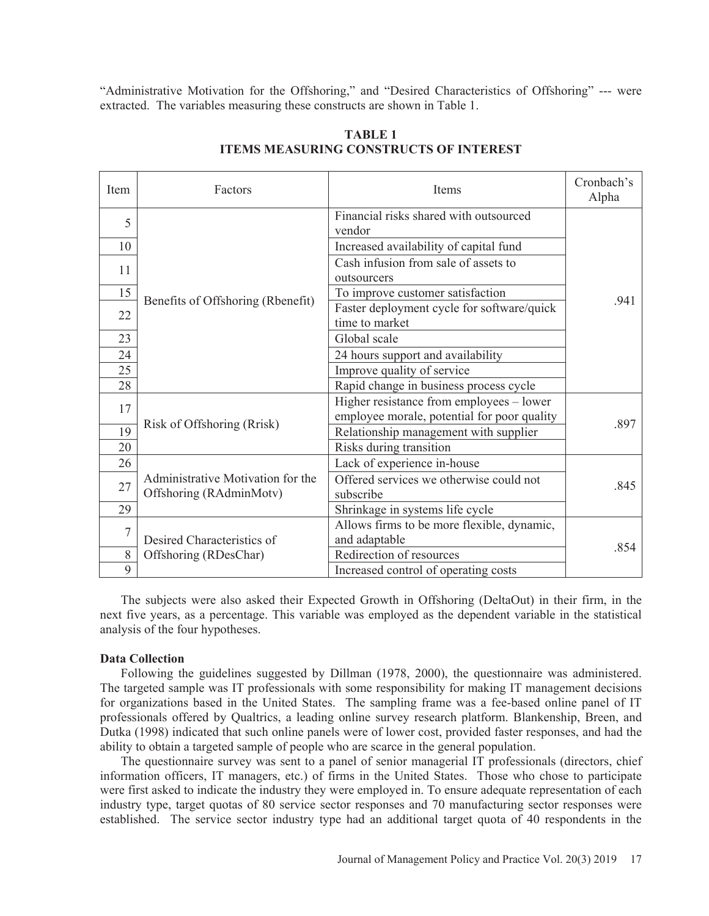"Administrative Motivation for the Offshoring," and "Desired Characteristics of Offshoring" --- were extracted. The variables measuring these constructs are shown in Table 1.

| <b>Item</b>    | Factors                                                      | <b>Items</b>                                                                                                                                                   | Cronbach's<br>Alpha |
|----------------|--------------------------------------------------------------|----------------------------------------------------------------------------------------------------------------------------------------------------------------|---------------------|
| 5              |                                                              | Financial risks shared with outsourced<br>vendor                                                                                                               |                     |
| 10             |                                                              | Increased availability of capital fund                                                                                                                         |                     |
| 11             |                                                              | Cash infusion from sale of assets to<br>outsourcers                                                                                                            |                     |
| 15             |                                                              | To improve customer satisfaction                                                                                                                               |                     |
| 22             | Benefits of Offshoring (Rbenefit)                            | Faster deployment cycle for software/quick<br>time to market                                                                                                   | .941                |
| 23             |                                                              | Global scale                                                                                                                                                   |                     |
| 24             | 24 hours support and availability                            |                                                                                                                                                                |                     |
| 25             |                                                              | Improve quality of service                                                                                                                                     |                     |
| 28             |                                                              | Rapid change in business process cycle                                                                                                                         |                     |
| 17             |                                                              | Higher resistance from employees - lower<br>employee morale, potential for poor quality<br>Risk of Offshoring (Rrisk)<br>Relationship management with supplier |                     |
| 19             |                                                              |                                                                                                                                                                |                     |
| 20             |                                                              | Risks during transition                                                                                                                                        |                     |
| 26             |                                                              | Lack of experience in-house                                                                                                                                    |                     |
| 27             | Administrative Motivation for the<br>Offshoring (RAdminMotv) | Offered services we otherwise could not<br>subscribe                                                                                                           | .845                |
| 29             |                                                              | Shrinkage in systems life cycle                                                                                                                                |                     |
| $\overline{7}$ |                                                              | Allows firms to be more flexible, dynamic,                                                                                                                     |                     |
|                | Desired Characteristics of                                   | and adaptable                                                                                                                                                  | .854                |
| 8              | Offshoring (RDesChar)                                        | Redirection of resources                                                                                                                                       |                     |
| 9              |                                                              | Increased control of operating costs                                                                                                                           |                     |

**TABLE 1 ITEMS MEASURING CONSTRUCTS OF INTEREST** 

The subjects were also asked their Expected Growth in Offshoring (DeltaOut) in their firm, in the next five years, as a percentage. This variable was employed as the dependent variable in the statistical analysis of the four hypotheses.

#### **Data Collection**

Following the guidelines suggested by Dillman (1978, 2000), the questionnaire was administered. The targeted sample was IT professionals with some responsibility for making IT management decisions for organizations based in the United States. The sampling frame was a fee-based online panel of IT professionals offered by Qualtrics, a leading online survey research platform. Blankenship, Breen, and Dutka (1998) indicated that such online panels were of lower cost, provided faster responses, and had the ability to obtain a targeted sample of people who are scarce in the general population.

The questionnaire survey was sent to a panel of senior managerial IT professionals (directors, chief information officers, IT managers, etc.) of firms in the United States. Those who chose to participate were first asked to indicate the industry they were employed in. To ensure adequate representation of each industry type, target quotas of 80 service sector responses and 70 manufacturing sector responses were established. The service sector industry type had an additional target quota of 40 respondents in the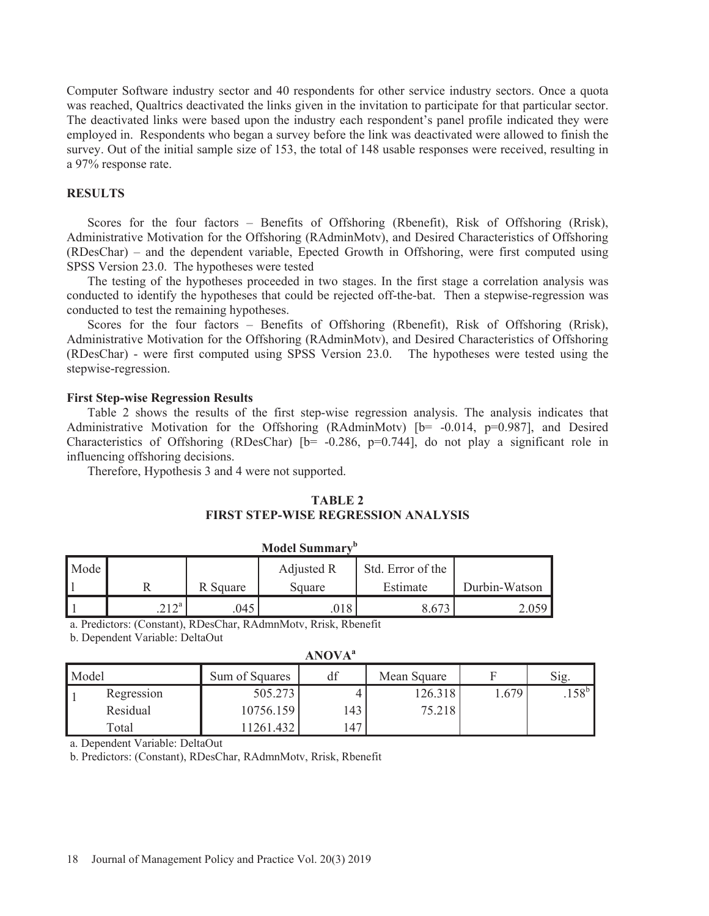Computer Software industry sector and 40 respondents for other service industry sectors. Once a quota was reached, Qualtrics deactivated the links given in the invitation to participate for that particular sector. The deactivated links were based upon the industry each respondent's panel profile indicated they were employed in. Respondents who began a survey before the link was deactivated were allowed to finish the survey. Out of the initial sample size of 153, the total of 148 usable responses were received, resulting in a 97% response rate.

# **RESULTS**

Scores for the four factors – Benefits of Offshoring (Rbenefit), Risk of Offshoring (Rrisk), Administrative Motivation for the Offshoring (RAdminMotv), and Desired Characteristics of Offshoring (RDesChar) – and the dependent variable, Epected Growth in Offshoring, were first computed using SPSS Version 23.0. The hypotheses were tested

The testing of the hypotheses proceeded in two stages. In the first stage a correlation analysis was conducted to identify the hypotheses that could be rejected off-the-bat. Then a stepwise-regression was conducted to test the remaining hypotheses.

Scores for the four factors – Benefits of Offshoring (Rbenefit), Risk of Offshoring (Rrisk), Administrative Motivation for the Offshoring (RAdminMotv), and Desired Characteristics of Offshoring (RDesChar) - were first computed using SPSS Version 23.0. The hypotheses were tested using the stepwise-regression.

# **First Step-wise Regression Results**

Table 2 shows the results of the first step-wise regression analysis. The analysis indicates that Administrative Motivation for the Offshoring (RAdminMoty) [b= -0.014, p=0.987], and Desired Characteristics of Offshoring (RDesChar)  $[b= -0.286, p=0.744]$ , do not play a significant role in influencing offshoring decisions.

Therefore, Hypothesis 3 and 4 were not supported.

#### **TABLE 2**

# **FIRST STEP-WISE REGRESSION ANALYSIS**

| Mode |        |          | Adjusted R | Std. Error of the |               |
|------|--------|----------|------------|-------------------|---------------|
|      |        | R Square | Square     | Estimate          | Durbin-Watson |
|      | ว 1 วa | 045      | 018        | 3.673             |               |

**Model Summary<sup>b</sup>**

a. Predictors: (Constant), RDesChar, RAdmnMotv, Rrisk, Rbenefit

b. Dependent Variable: DeltaOut

| <b>ANOVA</b> <sup>a</sup> |            |                |     |             |       |                |  |  |  |
|---------------------------|------------|----------------|-----|-------------|-------|----------------|--|--|--|
| Model                     |            | Sum of Squares | df  | Mean Square |       | Sig.           |  |  |  |
|                           | Regression | 505.273        |     | 126.318     | 1.679 | $.158^{\circ}$ |  |  |  |
|                           | Residual   | 10756.159      | 143 | 75.218      |       |                |  |  |  |
|                           | Total      | 1261.432       | 147 |             |       |                |  |  |  |

a. Dependent Variable: DeltaOut

b. Predictors: (Constant), RDesChar, RAdmnMotv, Rrisk, Rbenefit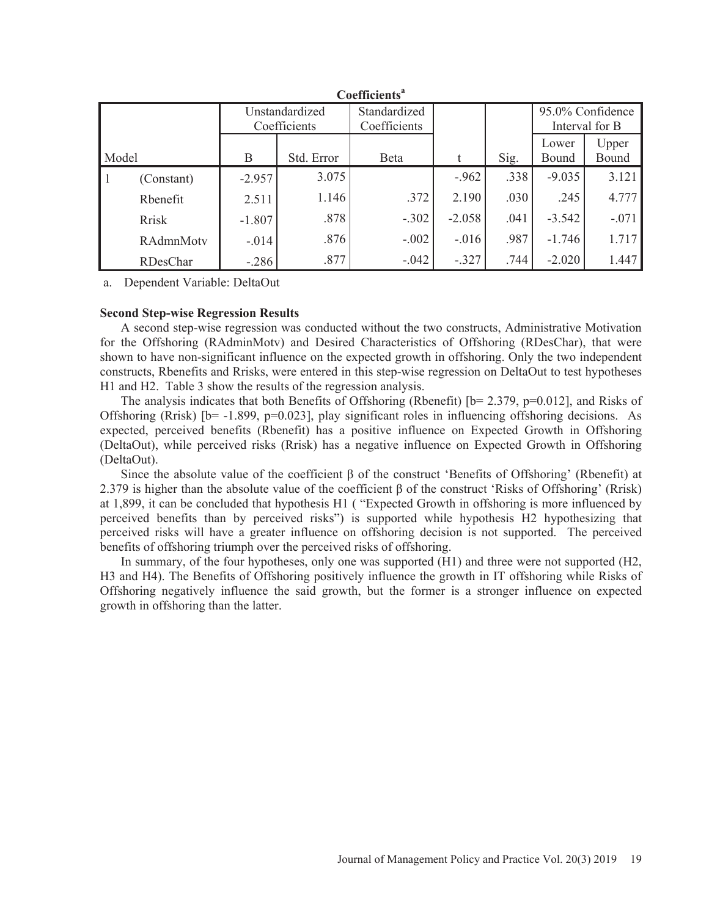|       | <b>Coefficients<sup>a</sup></b> |          |                              |         |                                    |      |                |                |  |  |
|-------|---------------------------------|----------|------------------------------|---------|------------------------------------|------|----------------|----------------|--|--|
|       | Unstandardized<br>Coefficients  |          | Standardized<br>Coefficients |         | 95.0% Confidence<br>Interval for B |      |                |                |  |  |
| Model |                                 | B        | Std. Error                   | Beta    | t                                  | Sig. | Lower<br>Bound | Upper<br>Bound |  |  |
| ' 1   | (Constant)                      | $-2.957$ | 3.075                        |         | $-.962$                            | .338 | $-9.035$       | 3.121          |  |  |
|       | Rhenefit                        | 2.511    | 1.146                        | .372    | 2.190                              | .030 | .245           | 4.777          |  |  |
|       | <b>Rrisk</b>                    | $-1.807$ | .878                         | $-.302$ | $-2.058$                           | .041 | $-3.542$       | $-.071$        |  |  |
|       | RAdmnMotv                       | $-.014$  | .876                         | $-.002$ | $-.016$                            | .987 | $-1.746$       | 1.717          |  |  |
|       | RDesChar                        | $-.286$  | .877                         | $-.042$ | $-.327$                            | .744 | $-2.020$       | 1.447          |  |  |

a. Dependent Variable: DeltaOut

# **Second Step-wise Regression Results**

A second step-wise regression was conducted without the two constructs, Administrative Motivation for the Offshoring (RAdminMotv) and Desired Characteristics of Offshoring (RDesChar), that were shown to have non-significant influence on the expected growth in offshoring. Only the two independent constructs, Rbenefits and Rrisks, were entered in this step-wise regression on DeltaOut to test hypotheses H1 and H2. Table 3 show the results of the regression analysis.

The analysis indicates that both Benefits of Offshoring (Rbenefit) [b= 2.379, p=0.012], and Risks of Offshoring (Rrisk)  $[b= -1.899, p= 0.023]$ , play significant roles in influencing offshoring decisions. As expected, perceived benefits (Rbenefit) has a positive influence on Expected Growth in Offshoring (DeltaOut), while perceived risks (Rrisk) has a negative influence on Expected Growth in Offshoring (DeltaOut).

Since the absolute value of the coefficient  $\beta$  of the construct 'Benefits of Offshoring' (Rbenefit) at 2.379 is higher than the absolute value of the coefficient  $\beta$  of the construct 'Risks of Offshoring' (Rrisk) at 1,899, it can be concluded that hypothesis H1 ( "Expected Growth in offshoring is more influenced by perceived benefits than by perceived risks") is supported while hypothesis H2 hypothesizing that perceived risks will have a greater influence on offshoring decision is not supported. The perceived benefits of offshoring triumph over the perceived risks of offshoring.

In summary, of the four hypotheses, only one was supported (H1) and three were not supported (H2, H3 and H4). The Benefits of Offshoring positively influence the growth in IT offshoring while Risks of Offshoring negatively influence the said growth, but the former is a stronger influence on expected growth in offshoring than the latter.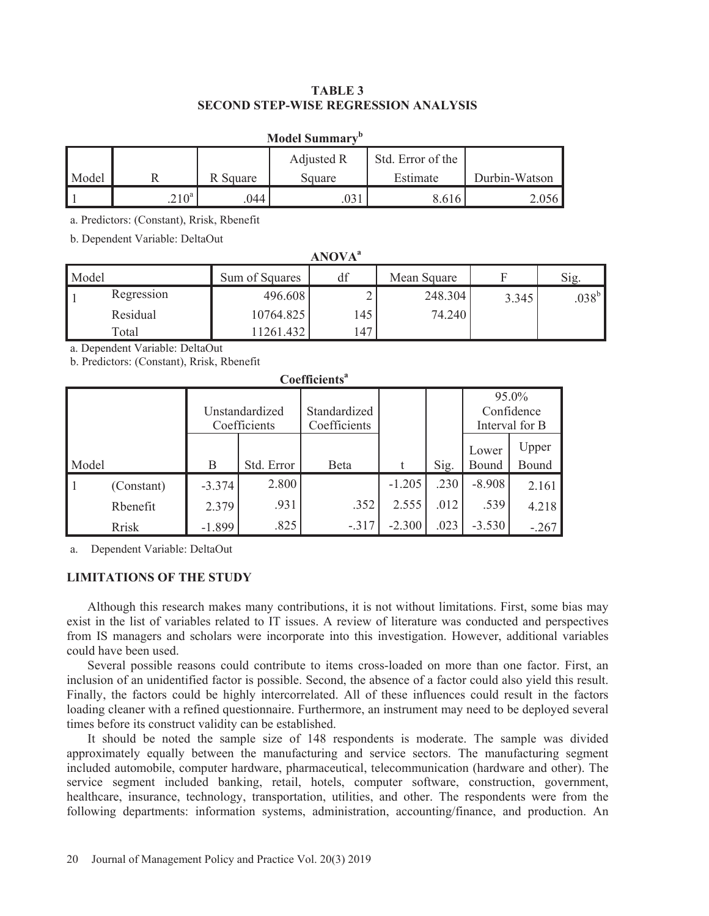# **TABLE 3 SECOND STEP-WISE REGRESSION ANALYSIS**

| <b>Model Summary</b> <sup>b</sup> |         |          |            |                   |               |  |  |  |  |
|-----------------------------------|---------|----------|------------|-------------------|---------------|--|--|--|--|
|                                   |         |          | Adjusted R | Std. Error of the |               |  |  |  |  |
| Model                             |         | R Square | Square     | Estimate          | Durbin-Watson |  |  |  |  |
|                                   | $210^a$ | 044      |            | 5.616             |               |  |  |  |  |

a. Predictors: (Constant), Rrisk, Rbenefit

b. Dependent Variable: DeltaOut

| <b>ANOVA</b> <sup>a</sup> |            |                |     |             |       |                |  |  |  |
|---------------------------|------------|----------------|-----|-------------|-------|----------------|--|--|--|
| Model                     |            | Sum of Squares | df  | Mean Square |       | Sig.           |  |  |  |
|                           | Regression | 496.608        |     | 248.304     | 3.345 | $.038^{\rm b}$ |  |  |  |
|                           | Residual   | 10764.825      | 145 | 74.240      |       |                |  |  |  |
|                           | Total      | 11261.432      | 147 |             |       |                |  |  |  |

a. Dependent Variable: DeltaOut

b. Predictors: (Constant), Rrisk, Rbenefit

| Coemercins |              |                                |            |                              |          |      |                                       |         |  |  |
|------------|--------------|--------------------------------|------------|------------------------------|----------|------|---------------------------------------|---------|--|--|
|            |              | Unstandardized<br>Coefficients |            | Standardized<br>Coefficients |          |      | 95.0%<br>Confidence<br>Interval for B |         |  |  |
|            |              |                                |            |                              |          |      | Lower                                 | Upper   |  |  |
| Model      |              | B                              | Std. Error | Beta                         |          | Sig. | Bound                                 | Bound   |  |  |
| l 1        | (Constant)   | $-3.374$                       | 2.800      |                              | $-1.205$ | .230 | $-8.908$                              | 2.161   |  |  |
|            | Rbenefit     | 2.379                          | .931       | .352                         | 2.555    | .012 | .539                                  | 4.218   |  |  |
|            | <b>Rrisk</b> | $-1.899$                       | .825       | $-.317$                      | $-2.300$ | .023 | $-3.530$                              | $-.267$ |  |  |

 $C$ oefficiente<sup>a</sup>

a. Dependent Variable: DeltaOut

# **LIMITATIONS OF THE STUDY**

Although this research makes many contributions, it is not without limitations. First, some bias may exist in the list of variables related to IT issues. A review of literature was conducted and perspectives from IS managers and scholars were incorporate into this investigation. However, additional variables could have been used.

Several possible reasons could contribute to items cross-loaded on more than one factor. First, an inclusion of an unidentified factor is possible. Second, the absence of a factor could also yield this result. Finally, the factors could be highly intercorrelated. All of these influences could result in the factors loading cleaner with a refined questionnaire. Furthermore, an instrument may need to be deployed several times before its construct validity can be established.

It should be noted the sample size of 148 respondents is moderate. The sample was divided approximately equally between the manufacturing and service sectors. The manufacturing segment included automobile, computer hardware, pharmaceutical, telecommunication (hardware and other). The service segment included banking, retail, hotels, computer software, construction, government, healthcare, insurance, technology, transportation, utilities, and other. The respondents were from the following departments: information systems, administration, accounting/finance, and production. An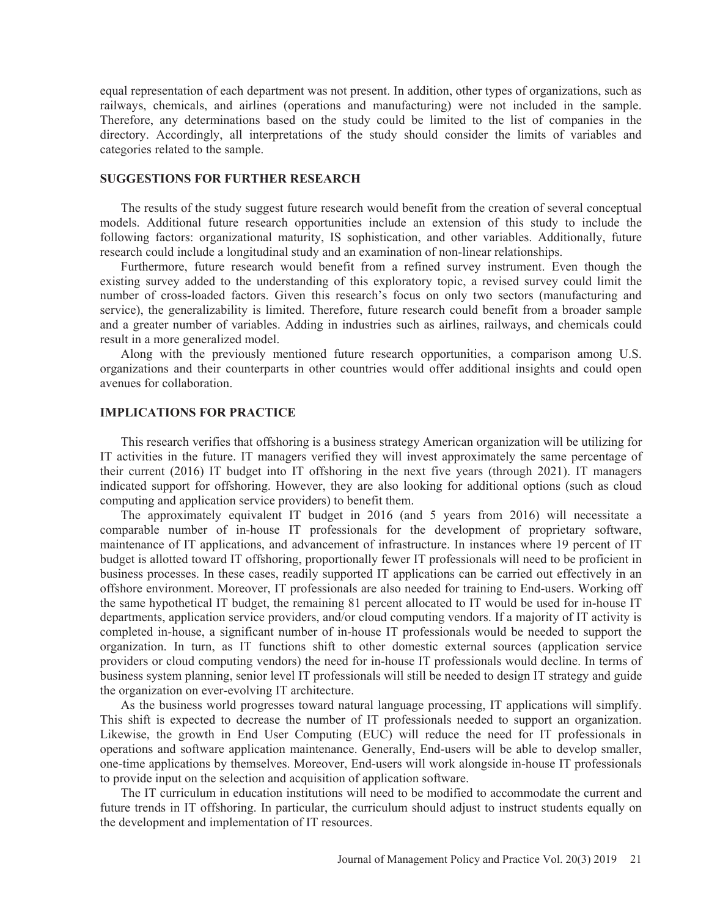equal representation of each department was not present. In addition, other types of organizations, such as railways, chemicals, and airlines (operations and manufacturing) were not included in the sample. Therefore, any determinations based on the study could be limited to the list of companies in the directory. Accordingly, all interpretations of the study should consider the limits of variables and categories related to the sample.

# **SUGGESTIONS FOR FURTHER RESEARCH**

The results of the study suggest future research would benefit from the creation of several conceptual models. Additional future research opportunities include an extension of this study to include the following factors: organizational maturity, IS sophistication, and other variables. Additionally, future research could include a longitudinal study and an examination of non-linear relationships.

Furthermore, future research would benefit from a refined survey instrument. Even though the existing survey added to the understanding of this exploratory topic, a revised survey could limit the number of cross-loaded factors. Given this research's focus on only two sectors (manufacturing and service), the generalizability is limited. Therefore, future research could benefit from a broader sample and a greater number of variables. Adding in industries such as airlines, railways, and chemicals could result in a more generalized model.

Along with the previously mentioned future research opportunities, a comparison among U.S. organizations and their counterparts in other countries would offer additional insights and could open avenues for collaboration.

# **IMPLICATIONS FOR PRACTICE**

This research verifies that offshoring is a business strategy American organization will be utilizing for IT activities in the future. IT managers verified they will invest approximately the same percentage of their current (2016) IT budget into IT offshoring in the next five years (through 2021). IT managers indicated support for offshoring. However, they are also looking for additional options (such as cloud computing and application service providers) to benefit them.

The approximately equivalent IT budget in 2016 (and 5 years from 2016) will necessitate a comparable number of in-house IT professionals for the development of proprietary software, maintenance of IT applications, and advancement of infrastructure. In instances where 19 percent of IT budget is allotted toward IT offshoring, proportionally fewer IT professionals will need to be proficient in business processes. In these cases, readily supported IT applications can be carried out effectively in an offshore environment. Moreover, IT professionals are also needed for training to End-users. Working off the same hypothetical IT budget, the remaining 81 percent allocated to IT would be used for in-house IT departments, application service providers, and/or cloud computing vendors. If a majority of IT activity is completed in-house, a significant number of in-house IT professionals would be needed to support the organization. In turn, as IT functions shift to other domestic external sources (application service providers or cloud computing vendors) the need for in-house IT professionals would decline. In terms of business system planning, senior level IT professionals will still be needed to design IT strategy and guide the organization on ever-evolving IT architecture.

As the business world progresses toward natural language processing, IT applications will simplify. This shift is expected to decrease the number of IT professionals needed to support an organization. Likewise, the growth in End User Computing (EUC) will reduce the need for IT professionals in operations and software application maintenance. Generally, End-users will be able to develop smaller, one-time applications by themselves. Moreover, End-users will work alongside in-house IT professionals to provide input on the selection and acquisition of application software.

The IT curriculum in education institutions will need to be modified to accommodate the current and future trends in IT offshoring. In particular, the curriculum should adjust to instruct students equally on the development and implementation of IT resources.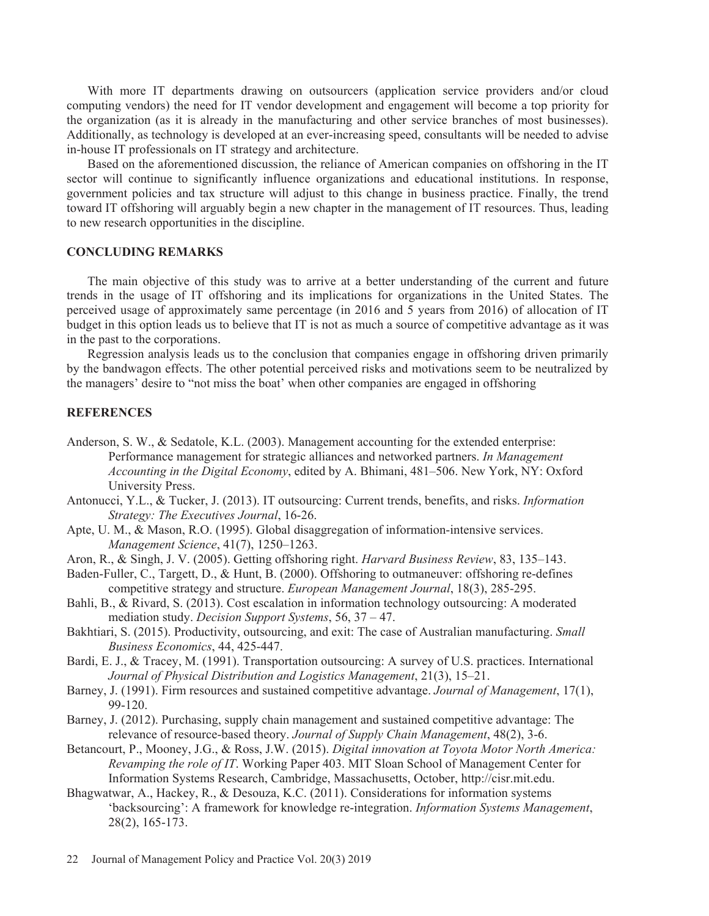With more IT departments drawing on outsourcers (application service providers and/or cloud computing vendors) the need for IT vendor development and engagement will become a top priority for the organization (as it is already in the manufacturing and other service branches of most businesses). Additionally, as technology is developed at an ever-increasing speed, consultants will be needed to advise in-house IT professionals on IT strategy and architecture.

Based on the aforementioned discussion, the reliance of American companies on offshoring in the IT sector will continue to significantly influence organizations and educational institutions. In response, government policies and tax structure will adjust to this change in business practice. Finally, the trend toward IT offshoring will arguably begin a new chapter in the management of IT resources. Thus, leading to new research opportunities in the discipline.

# **CONCLUDING REMARKS**

The main objective of this study was to arrive at a better understanding of the current and future trends in the usage of IT offshoring and its implications for organizations in the United States. The perceived usage of approximately same percentage (in 2016 and 5 years from 2016) of allocation of IT budget in this option leads us to believe that IT is not as much a source of competitive advantage as it was in the past to the corporations.

Regression analysis leads us to the conclusion that companies engage in offshoring driven primarily by the bandwagon effects. The other potential perceived risks and motivations seem to be neutralized by the managers' desire to "not miss the boat' when other companies are engaged in offshoring

# **REFERENCES**

- Anderson, S. W., & Sedatole, K.L. (2003). Management accounting for the extended enterprise: Performance management for strategic alliances and networked partners. *In Management Accounting in the Digital Economy*, edited by A. Bhimani, 481–506. New York, NY: Oxford University Press.
- Antonucci, Y.L., & Tucker, J. (2013). IT outsourcing: Current trends, benefits, and risks. *Information Strategy: The Executives Journal*, 16-26.
- Apte, U. M., & Mason, R.O. (1995). Global disaggregation of information-intensive services. *Management Science*, 41(7), 1250–1263.
- Aron, R., & Singh, J. V. (2005). Getting offshoring right. *Harvard Business Review*, 83, 135–143.
- Baden-Fuller, C., Targett, D., & Hunt, B. (2000). Offshoring to outmaneuver: offshoring re-defines competitive strategy and structure. *European Management Journal*, 18(3), 285-295.
- Bahli, B., & Rivard, S. (2013). Cost escalation in information technology outsourcing: A moderated mediation study. *Decision Support Systems*, 56, 37 – 47.
- Bakhtiari, S. (2015). Productivity, outsourcing, and exit: The case of Australian manufacturing. *Small Business Economics*, 44, 425-447.
- Bardi, E. J., & Tracey, M. (1991). Transportation outsourcing: A survey of U.S. practices. International *Journal of Physical Distribution and Logistics Management*, 21(3), 15–21.
- Barney, J. (1991). Firm resources and sustained competitive advantage. *Journal of Management*, 17(1), 99-120.
- Barney, J. (2012). Purchasing, supply chain management and sustained competitive advantage: The relevance of resource-based theory. *Journal of Supply Chain Management*, 48(2), 3-6.
- Betancourt, P., Mooney, J.G., & Ross, J.W. (2015). *Digital innovation at Toyota Motor North America: Revamping the role of IT*. Working Paper 403. MIT Sloan School of Management Center for Information Systems Research, Cambridge, Massachusetts, October, http://cisr.mit.edu.
- Bhagwatwar, A., Hackey, R., & Desouza, K.C. (2011). Considerations for information systems 'backsourcing': A framework for knowledge re-integration. *Information Systems Management*, 28(2), 165-173.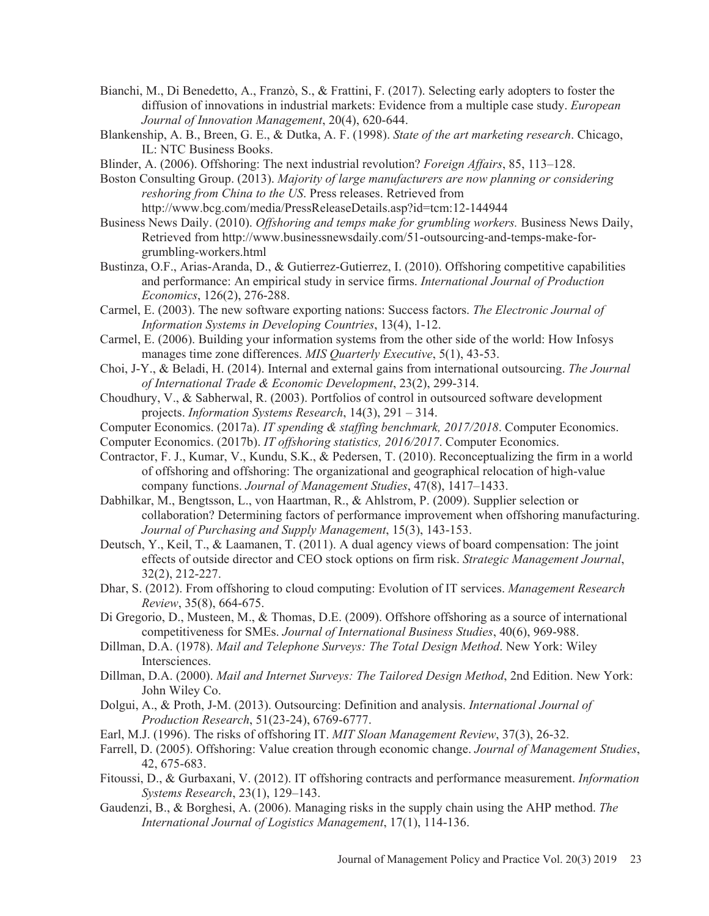- Bianchi, M., Di Benedetto, A., Franzò, S., & Frattini, F. (2017). Selecting early adopters to foster the diffusion of innovations in industrial markets: Evidence from a multiple case study. *European Journal of Innovation Management*, 20(4), 620-644.
- Blankenship, A. B., Breen, G. E., & Dutka, A. F. (1998). *State of the art marketing research*. Chicago, IL: NTC Business Books.
- Blinder, A. (2006). Offshoring: The next industrial revolution? *Foreign Affairs*, 85, 113–128.
- Boston Consulting Group. (2013). *Majority of large manufacturers are now planning or considering reshoring from China to the US*. Press releases. Retrieved from http://www.bcg.com/media/PressReleaseDetails.asp?id=tcm:12-144944
- Business News Daily. (2010). *Offshoring and temps make for grumbling workers.* Business News Daily, Retrieved from http://www.businessnewsdaily.com/51-outsourcing-and-temps-make-forgrumbling-workers.html
- Bustinza, O.F., Arias-Aranda, D., & Gutierrez-Gutierrez, I. (2010). Offshoring competitive capabilities and performance: An empirical study in service firms. *International Journal of Production Economics*, 126(2), 276-288.
- Carmel, E. (2003). The new software exporting nations: Success factors. *The Electronic Journal of Information Systems in Developing Countries*, 13(4), 1-12.
- Carmel, E. (2006). Building your information systems from the other side of the world: How Infosys manages time zone differences. *MIS Quarterly Executive*, 5(1), 43-53.
- Choi, J-Y., & Beladi, H. (2014). Internal and external gains from international outsourcing. *The Journal of International Trade & Economic Development*, 23(2), 299-314.
- Choudhury, V., & Sabherwal, R. (2003). Portfolios of control in outsourced software development projects. *Information Systems Research*, 14(3), 291 – 314.
- Computer Economics. (2017a). *IT spending & staffing benchmark, 2017/2018*. Computer Economics.
- Computer Economics. (2017b). *IT offshoring statistics, 2016/2017*. Computer Economics.
- Contractor, F. J., Kumar, V., Kundu, S.K., & Pedersen, T. (2010). Reconceptualizing the firm in a world of offshoring and offshoring: The organizational and geographical relocation of high-value company functions. *Journal of Management Studies*, 47(8), 1417–1433.
- Dabhilkar, M., Bengtsson, L., von Haartman, R., & Ahlstrom, P. (2009). Supplier selection or collaboration? Determining factors of performance improvement when offshoring manufacturing. *Journal of Purchasing and Supply Management*, 15(3), 143-153.
- Deutsch, Y., Keil, T., & Laamanen, T. (2011). A dual agency views of board compensation: The joint effects of outside director and CEO stock options on firm risk. *Strategic Management Journal*, 32(2), 212-227.
- Dhar, S. (2012). From offshoring to cloud computing: Evolution of IT services. *Management Research Review*, 35(8), 664-675.
- Di Gregorio, D., Musteen, M., & Thomas, D.E. (2009). Offshore offshoring as a source of international competitiveness for SMEs. *Journal of International Business Studies*, 40(6), 969-988.
- Dillman, D.A. (1978). *Mail and Telephone Surveys: The Total Design Method*. New York: Wiley Intersciences.
- Dillman, D.A. (2000). *Mail and Internet Surveys: The Tailored Design Method*, 2nd Edition. New York: John Wiley Co.
- Dolgui, A., & Proth, J-M. (2013). Outsourcing: Definition and analysis. *International Journal of Production Research*, 51(23-24), 6769-6777.
- Earl, M.J. (1996). The risks of offshoring IT. *MIT Sloan Management Review*, 37(3), 26-32.
- Farrell, D. (2005). Offshoring: Value creation through economic change. *Journal of Management Studies*, 42, 675-683.
- Fitoussi, D., & Gurbaxani, V. (2012). IT offshoring contracts and performance measurement. *Information Systems Research*, 23(1), 129–143.
- Gaudenzi, B., & Borghesi, A. (2006). Managing risks in the supply chain using the AHP method. *The International Journal of Logistics Management*, 17(1), 114-136.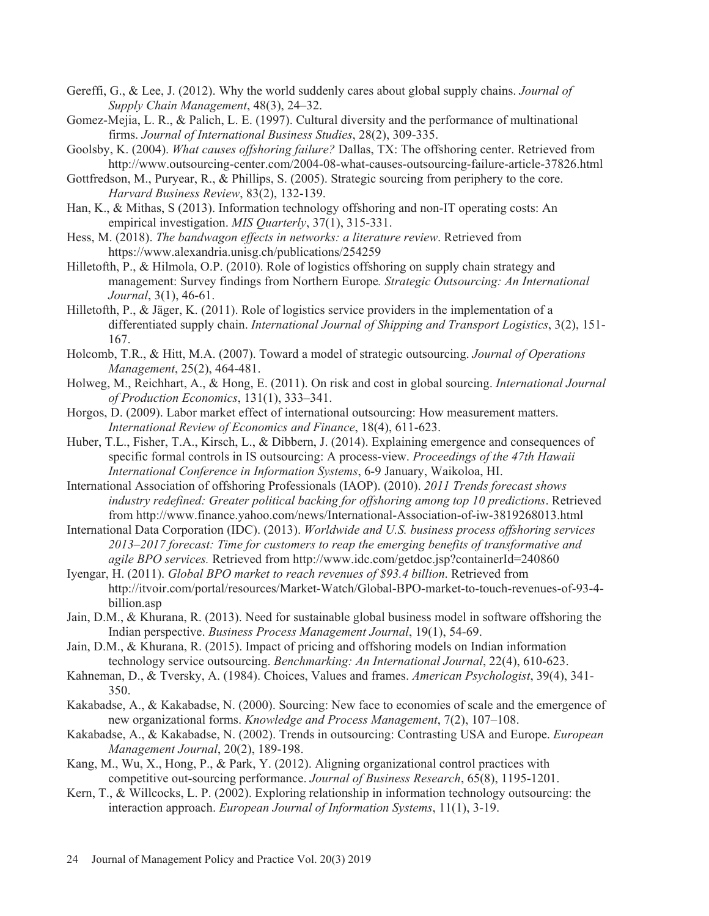- Gereffi, G., & Lee, J. (2012). Why the world suddenly cares about global supply chains. *Journal of Supply Chain Management*, 48(3), 24–32.
- Gomez-Mejia, L. R., & Palich, L. E. (1997). Cultural diversity and the performance of multinational firms. *Journal of International Business Studies*, 28(2), 309-335.
- Goolsby, K. (2004). *What causes offshoring failure?* Dallas, TX: The offshoring center. Retrieved from http://www.outsourcing-center.com/2004-08-what-causes-outsourcing-failure-article-37826.html
- Gottfredson, M., Puryear, R., & Phillips, S. (2005). Strategic sourcing from periphery to the core. *Harvard Business Review*, 83(2), 132-139.
- Han, K., & Mithas, S (2013). Information technology offshoring and non-IT operating costs: An empirical investigation. *MIS Quarterly*, 37(1), 315-331.
- Hess, M. (2018). *The bandwagon effects in networks: a literature review*. Retrieved from https://www.alexandria.unisg.ch/publications/254259
- Hilletofth, P., & Hilmola, O.P. (2010). Role of logistics offshoring on supply chain strategy and management: Survey findings from Northern Europe*. Strategic Outsourcing: An International Journal*, 3(1), 46-61.
- Hilletofth, P., & Jäger, K. (2011). Role of logistics service providers in the implementation of a differentiated supply chain. *International Journal of Shipping and Transport Logistics*, 3(2), 151- 167.
- Holcomb, T.R., & Hitt, M.A. (2007). Toward a model of strategic outsourcing. *Journal of Operations Management*, 25(2), 464-481.
- Holweg, M., Reichhart, A., & Hong, E. (2011). On risk and cost in global sourcing. *International Journal of Production Economics*, 131(1), 333–341.
- Horgos, D. (2009). Labor market effect of international outsourcing: How measurement matters. *International Review of Economics and Finance*, 18(4), 611-623.
- Huber, T.L., Fisher, T.A., Kirsch, L., & Dibbern, J. (2014). Explaining emergence and consequences of specific formal controls in IS outsourcing: A process-view. *Proceedings of the 47th Hawaii International Conference in Information Systems*, 6-9 January, Waikoloa, HI.
- International Association of offshoring Professionals (IAOP). (2010). *2011 Trends forecast shows industry redefined: Greater political backing for offshoring among top 10 predictions*. Retrieved from http://www.finance.yahoo.com/news/International-Association-of-iw-3819268013.html
- International Data Corporation (IDC). (2013). *Worldwide and U.S. business process offshoring services 2013–2017 forecast: Time for customers to reap the emerging benefits of transformative and agile BPO services.* Retrieved from http://www.idc.com/getdoc.jsp?containerId=240860
- Iyengar, H. (2011). *Global BPO market to reach revenues of \$93.4 billion*. Retrieved from http://itvoir.com/portal/resources/Market-Watch/Global-BPO-market-to-touch-revenues-of-93-4 billion.asp
- Jain, D.M., & Khurana, R. (2013). Need for sustainable global business model in software offshoring the Indian perspective. *Business Process Management Journal*, 19(1), 54-69.
- Jain, D.M., & Khurana, R. (2015). Impact of pricing and offshoring models on Indian information technology service outsourcing. *Benchmarking: An International Journal*, 22(4), 610-623.
- Kahneman, D., & Tversky, A. (1984). Choices, Values and frames. *American Psychologist*, 39(4), 341- 350.
- Kakabadse, A., & Kakabadse, N. (2000). Sourcing: New face to economies of scale and the emergence of new organizational forms. *Knowledge and Process Management*, 7(2), 107–108.
- Kakabadse, A., & Kakabadse, N. (2002). Trends in outsourcing: Contrasting USA and Europe. *European Management Journal*, 20(2), 189-198.
- Kang, M., Wu, X., Hong, P., & Park, Y. (2012). Aligning organizational control practices with competitive out-sourcing performance. *Journal of Business Research*, 65(8), 1195-1201.
- Kern, T., & Willcocks, L. P. (2002). Exploring relationship in information technology outsourcing: the interaction approach. *European Journal of Information Systems*, 11(1), 3-19.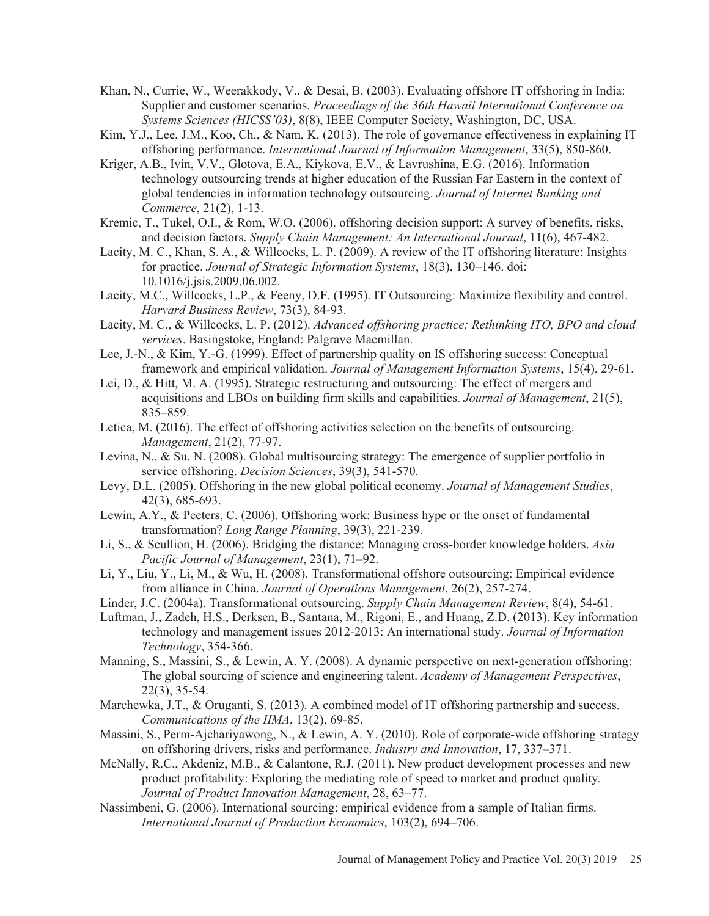- Khan, N., Currie, W., Weerakkody, V., & Desai, B. (2003). Evaluating offshore IT offshoring in India: Supplier and customer scenarios. *Proceedings of the 36th Hawaii International Conference on Systems Sciences (HICSS'03)*, 8(8), IEEE Computer Society, Washington, DC, USA.
- Kim, Y.J., Lee, J.M., Koo, Ch., & Nam, K. (2013). The role of governance effectiveness in explaining IT offshoring performance. *International Journal of Information Management*, 33(5), 850-860.
- Kriger, A.B., Ivin, V.V., Glotova, E.A., Kiykova, E.V., & Lavrushina, E.G. (2016). Information technology outsourcing trends at higher education of the Russian Far Eastern in the context of global tendencies in information technology outsourcing. *Journal of Internet Banking and Commerce*, 21(2), 1-13.
- Kremic, T., Tukel, O.I., & Rom, W.O. (2006). offshoring decision support: A survey of benefits, risks, and decision factors. *Supply Chain Management: An International Journal*, 11(6), 467-482.
- Lacity, M. C., Khan, S. A., & Willcocks, L. P. (2009). A review of the IT offshoring literature: Insights for practice. *Journal of Strategic Information Systems*, 18(3), 130–146. doi: 10.1016/j.jsis.2009.06.002.
- Lacity, M.C., Willcocks, L.P., & Feeny, D.F. (1995). IT Outsourcing: Maximize flexibility and control. *Harvard Business Review*, 73(3), 84-93.
- Lacity, M. C., & Willcocks, L. P. (2012). *Advanced offshoring practice: Rethinking ITO, BPO and cloud services*. Basingstoke, England: Palgrave Macmillan.
- Lee, J.-N., & Kim, Y.-G. (1999). Effect of partnership quality on IS offshoring success: Conceptual framework and empirical validation. *Journal of Management Information Systems*, 15(4), 29-61.
- Lei, D., & Hitt, M. A. (1995). Strategic restructuring and outsourcing: The effect of mergers and acquisitions and LBOs on building firm skills and capabilities. *Journal of Management*, 21(5), 835–859.
- Letica, M. (2016). The effect of offshoring activities selection on the benefits of outsourcing. *Management*, 21(2), 77-97.
- Levina, N., & Su, N. (2008). Global multisourcing strategy: The emergence of supplier portfolio in service offshoring. *Decision Sciences*, 39(3), 541-570.
- Levy, D.L. (2005). Offshoring in the new global political economy. *Journal of Management Studies*, 42(3), 685-693.
- Lewin, A.Y., & Peeters, C. (2006). Offshoring work: Business hype or the onset of fundamental transformation? *Long Range Planning*, 39(3), 221-239.
- Li, S., & Scullion, H. (2006). Bridging the distance: Managing cross-border knowledge holders. *Asia Pacific Journal of Management*, 23(1), 71–92.
- Li, Y., Liu, Y., Li, M., & Wu, H. (2008). Transformational offshore outsourcing: Empirical evidence from alliance in China. *Journal of Operations Management*, 26(2), 257-274.
- Linder, J.C. (2004a). Transformational outsourcing. *Supply Chain Management Review*, 8(4), 54-61.
- Luftman, J., Zadeh, H.S., Derksen, B., Santana, M., Rigoni, E., and Huang, Z.D. (2013). Key information technology and management issues 2012-2013: An international study. *Journal of Information Technology*, 354-366.
- Manning, S., Massini, S., & Lewin, A. Y. (2008). A dynamic perspective on next-generation offshoring: The global sourcing of science and engineering talent. *Academy of Management Perspectives*, 22(3), 35-54.
- Marchewka, J.T., & Oruganti, S. (2013). A combined model of IT offshoring partnership and success. *Communications of the IIMA*, 13(2), 69-85.
- Massini, S., Perm-Ajchariyawong, N., & Lewin, A. Y. (2010). Role of corporate-wide offshoring strategy on offshoring drivers, risks and performance. *Industry and Innovation*, 17, 337–371.
- McNally, R.C., Akdeniz, M.B., & Calantone, R.J. (2011). New product development processes and new product profitability: Exploring the mediating role of speed to market and product quality*. Journal of Product Innovation Management*, 28, 63–77.
- Nassimbeni, G. (2006). International sourcing: empirical evidence from a sample of Italian firms. *International Journal of Production Economics*, 103(2), 694–706.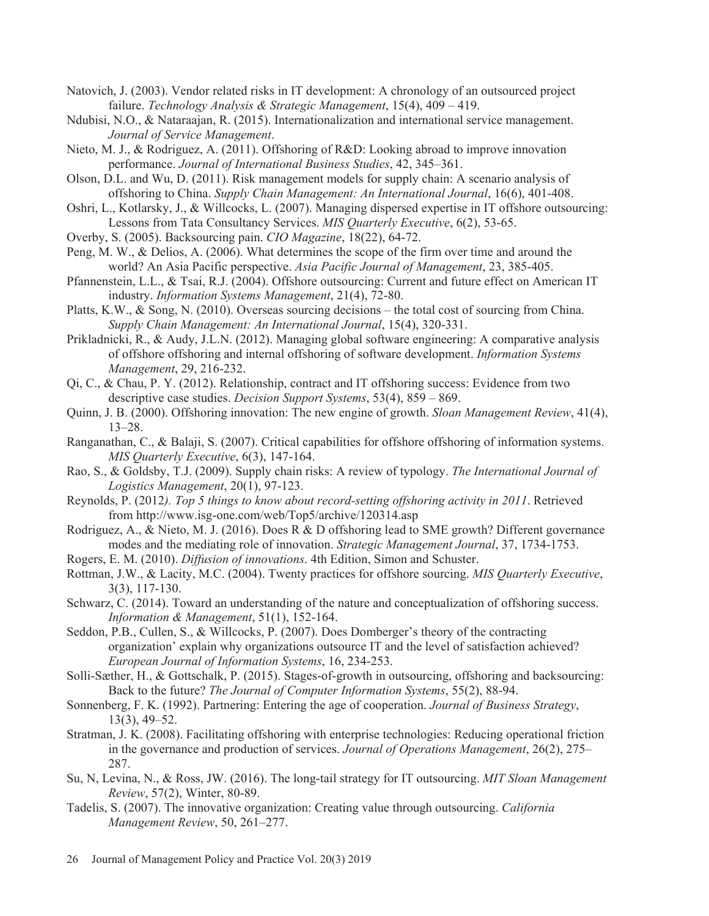- Natovich, J. (2003). Vendor related risks in IT development: A chronology of an outsourced project failure. *Technology Analysis & Strategic Management*, 15(4), 409 – 419.
- Ndubisi, N.O., & Nataraajan, R. (2015). Internationalization and international service management. *Journal of Service Management*.
- Nieto, M. J., & Rodriguez, A. (2011). Offshoring of R&D: Looking abroad to improve innovation performance. *Journal of International Business Studies*, 42, 345–361.
- Olson, D.L. and Wu, D. (2011). Risk management models for supply chain: A scenario analysis of offshoring to China. *Supply Chain Management: An International Journal*, 16(6), 401-408.
- Oshri, L., Kotlarsky, J., & Willcocks, L. (2007). Managing dispersed expertise in IT offshore outsourcing: Lessons from Tata Consultancy Services. *MIS Quarterly Executive*, 6(2), 53-65.
- Overby, S. (2005). Backsourcing pain. *CIO Magazine*, 18(22), 64-72.
- Peng, M. W., & Delios, A. (2006). What determines the scope of the firm over time and around the world? An Asia Pacific perspective. *Asia Pacific Journal of Management*, 23, 385-405.
- Pfannenstein, L.L., & Tsai, R.J. (2004). Offshore outsourcing: Current and future effect on American IT industry. *Information Systems Management*, 21(4), 72-80.
- Platts, K.W., & Song, N. (2010). Overseas sourcing decisions the total cost of sourcing from China. *Supply Chain Management: An International Journal*, 15(4), 320-331.
- Prikladnicki, R., & Audy, J.L.N. (2012). Managing global software engineering: A comparative analysis of offshore offshoring and internal offshoring of software development. *Information Systems Management*, 29, 216-232.
- Qi, C., & Chau, P. Y. (2012). Relationship, contract and IT offshoring success: Evidence from two descriptive case studies. *Decision Support Systems*, 53(4), 859 – 869.
- Quinn, J. B. (2000). Offshoring innovation: The new engine of growth. *Sloan Management Review*, 41(4), 13–28.
- Ranganathan, C., & Balaji, S. (2007). Critical capabilities for offshore offshoring of information systems. *MIS Quarterly Executive*, 6(3), 147-164.
- Rao, S., & Goldsby, T.J. (2009). Supply chain risks: A review of typology. *The International Journal of Logistics Management*, 20(1), 97-123.
- Reynolds, P. (2012*). Top 5 things to know about record-setting offshoring activity in 2011*. Retrieved from http://www.isg-one.com/web/Top5/archive/120314.asp
- Rodriguez, A., & Nieto, M. J. (2016). Does R & D offshoring lead to SME growth? Different governance modes and the mediating role of innovation. *Strategic Management Journal*, 37, 1734-1753.
- Rogers, E. M. (2010). *Diffusion of innovations*. 4th Edition, Simon and Schuster.
- Rottman, J.W., & Lacity, M.C. (2004). Twenty practices for offshore sourcing. *MIS Quarterly Executive*, 3(3), 117-130.
- Schwarz, C. (2014). Toward an understanding of the nature and conceptualization of offshoring success. *Information & Management*, 51(1), 152-164.
- Seddon, P.B., Cullen, S., & Willcocks, P. (2007). Does Domberger's theory of the contracting organization' explain why organizations outsource IT and the level of satisfaction achieved? *European Journal of Information Systems*, 16, 234-253.
- Solli-Sæther, H., & Gottschalk, P. (2015). Stages-of-growth in outsourcing, offshoring and backsourcing: Back to the future? *The Journal of Computer Information Systems*, 55(2), 88-94.
- Sonnenberg, F. K. (1992). Partnering: Entering the age of cooperation. *Journal of Business Strategy*, 13(3), 49–52.
- Stratman, J. K. (2008). Facilitating offshoring with enterprise technologies: Reducing operational friction in the governance and production of services. *Journal of Operations Management*, 26(2), 275– 287.
- Su, N, Levina, N., & Ross, JW. (2016). The long-tail strategy for IT outsourcing. *MIT Sloan Management Review*, 57(2), Winter, 80-89.
- Tadelis, S. (2007). The innovative organization: Creating value through outsourcing. *California Management Review*, 50, 261–277.